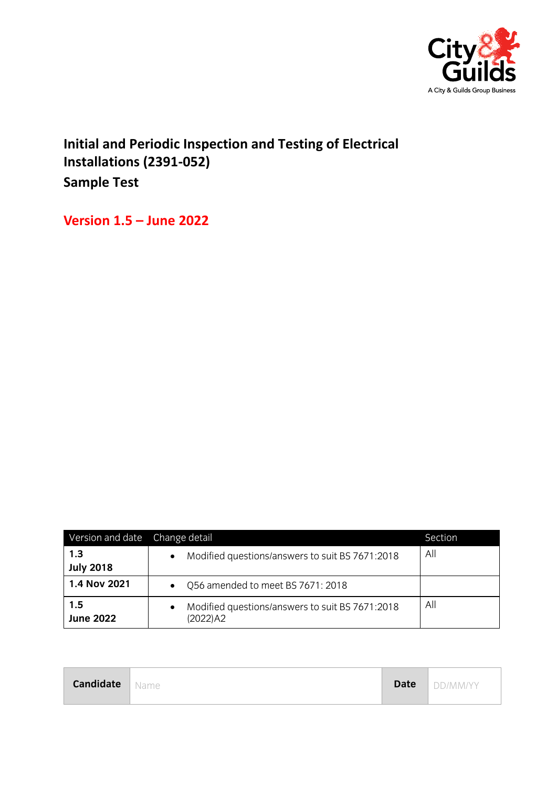

**Initial and Periodic Inspection and Testing of Electrical Installations (2391-052) Sample Test**

**Version 1.5 – June 2022**

| Version and date Change detail |                                                                             | Section      |
|--------------------------------|-----------------------------------------------------------------------------|--------------|
| 1.3<br><b>July 2018</b>        | Modified questions/answers to suit BS 7671:2018<br>$\bullet$                | All          |
| 1.4 Nov 2021                   | Q56 amended to meet BS 7671: 2018<br>$\bullet$                              |              |
| 1.5<br><b>June 2022</b>        | Modified questions/answers to suit BS 7671:2018<br>$\bullet$<br>$(2022)$ A2 | $\mathsf{A}$ |

| <b>Candidate</b> Name |  |  | <b>Date</b>   DD/MM/YY |
|-----------------------|--|--|------------------------|
|-----------------------|--|--|------------------------|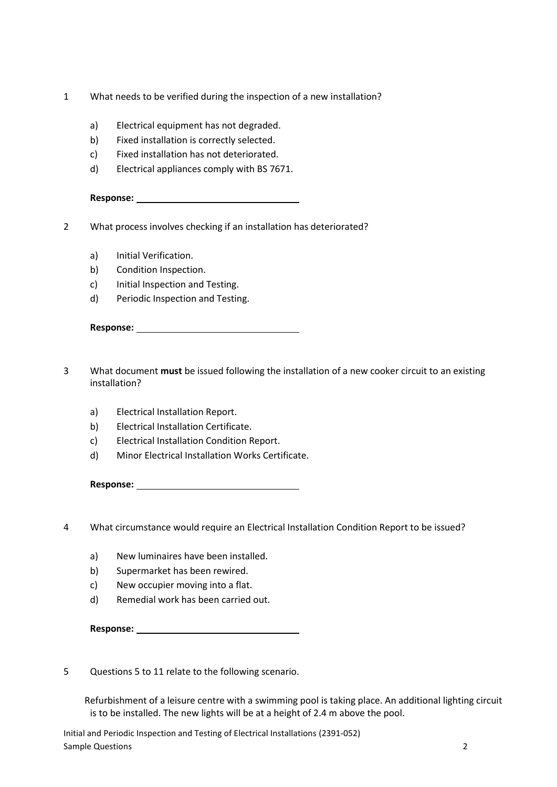- 1 What needs to be verified during the inspection of a new installation?
	- a) Electrical equipment has not degraded.
	- b) Fixed installation is correctly selected.
	- c) Fixed installation has not deteriorated.
	- d) Electrical appliances comply with BS 7671.

2 What process involves checking if an installation has deteriorated?

- a) Initial Verification.
- b) Condition Inspection.
- c) Initial Inspection and Testing.
- d) Periodic Inspection and Testing.

- 3 What document **must** be issued following the installation of a new cooker circuit to an existing installation?
	- a) Electrical Installation Report.
	- b) Electrical Installation Certificate.
	- c) Electrical Installation Condition Report.
	- d) Minor Electrical Installation Works Certificate.

**Response:** 

4 What circumstance would require an Electrical Installation Condition Report to be issued?

- a) New luminaires have been installed.
- b) Supermarket has been rewired.
- c) New occupier moving into a flat.
- d) Remedial work has been carried out.

**Response:** 

5 Questions 5 to 11 relate to the following scenario.

 Refurbishment of a leisure centre with a swimming pool is taking place. An additional lighting circuit is to be installed. The new lights will be at a height of 2.4 m above the pool.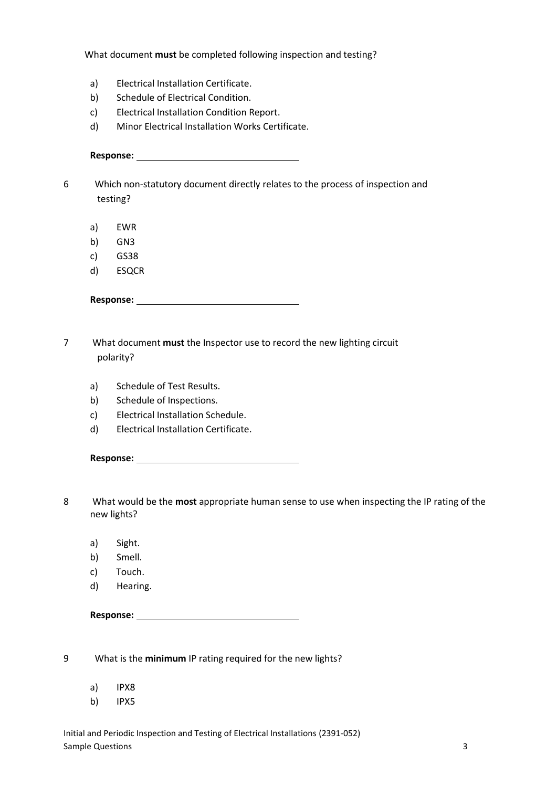What document **must** be completed following inspection and testing?

- a) Electrical Installation Certificate.
- b) Schedule of Electrical Condition.
- c) Electrical Installation Condition Report.
- d) Minor Electrical Installation Works Certificate.

**Response:** 

6 Which non-statutory document directly relates to the process of inspection and testing?

- a) EWR
- b) GN3
- c) GS38
- d) ESQCR

**Response:** 

- 7 What document **must** the Inspector use to record the new lighting circuit polarity?
	- a) Schedule of Test Results.
	- b) Schedule of Inspections.
	- c) Electrical Installation Schedule.
	- d) Electrical Installation Certificate.

| <b>Response:</b> |  |
|------------------|--|
|                  |  |

- 8 What would be the **most** appropriate human sense to use when inspecting the IP rating of the new lights?
	- a) Sight.
	- b) Smell.
	- c) Touch.
	- d) Hearing.

**Response:** 

9 What is the **minimum** IP rating required for the new lights?

- a) IPX8
- b) IPX5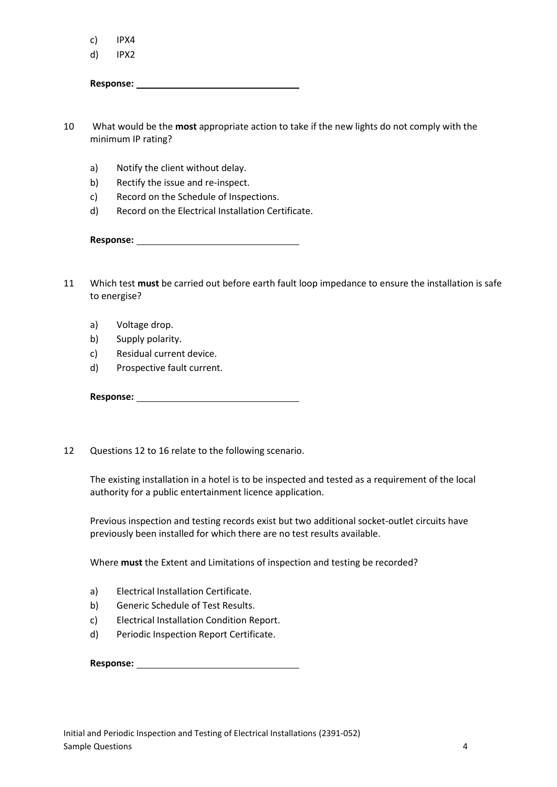c) IPX4

d) IPX2

Response: <u>**with a set of the set of the set of the set of the set of the set of the set of the set of the set of the set of the set of the set of the set of the set of the set of the set of the set of the set of the set o</u>** 

10 What would be the **most** appropriate action to take if the new lights do not comply with the minimum IP rating?

- a) Notify the client without delay.
- b) Rectify the issue and re-inspect.
- c) Record on the Schedule of Inspections.
- d) Record on the Electrical Installation Certificate.

**Response:** 

11 Which test **must** be carried out before earth fault loop impedance to ensure the installation is safe to energise?

- a) Voltage drop.
- b) Supply polarity.
- c) Residual current device.
- d) Prospective fault current.

**Response:** 

12 Questions 12 to 16 relate to the following scenario.

 The existing installation in a hotel is to be inspected and tested as a requirement of the local authority for a public entertainment licence application.

 Previous inspection and testing records exist but two additional socket-outlet circuits have previously been installed for which there are no test results available.

Where **must** the Extent and Limitations of inspection and testing be recorded?

- a) Electrical Installation Certificate.
- b) Generic Schedule of Test Results.
- c) Electrical Installation Condition Report.
- d) Periodic Inspection Report Certificate.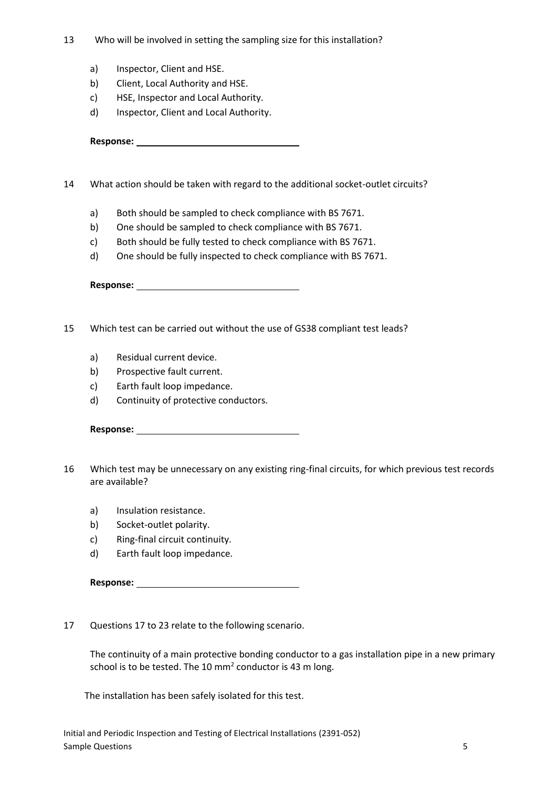- 13 Who will be involved in setting the sampling size for this installation?
	- a) Inspector, Client and HSE.
	- b) Client, Local Authority and HSE.
	- c) HSE, Inspector and Local Authority.
	- d) Inspector, Client and Local Authority.

14 What action should be taken with regard to the additional socket-outlet circuits?

- a) Both should be sampled to check compliance with BS 7671.
- b) One should be sampled to check compliance with BS 7671.
- c) Both should be fully tested to check compliance with BS 7671.
- d) One should be fully inspected to check compliance with BS 7671.

**Response:** 

- 15 Which test can be carried out without the use of GS38 compliant test leads?
	- a) Residual current device.
	- b) Prospective fault current.
	- c) Earth fault loop impedance.
	- d) Continuity of protective conductors.

**Response:** 

- 16 Which test may be unnecessary on any existing ring-final circuits, for which previous test records are available?
	- a) Insulation resistance.
	- b) Socket-outlet polarity.
	- c) Ring-final circuit continuity.
	- d) Earth fault loop impedance.

**Response:** 

17 Questions 17 to 23 relate to the following scenario.

 The continuity of a main protective bonding conductor to a gas installation pipe in a new primary school is to be tested. The 10  $mm<sup>2</sup>$  conductor is 43 m long.

The installation has been safely isolated for this test.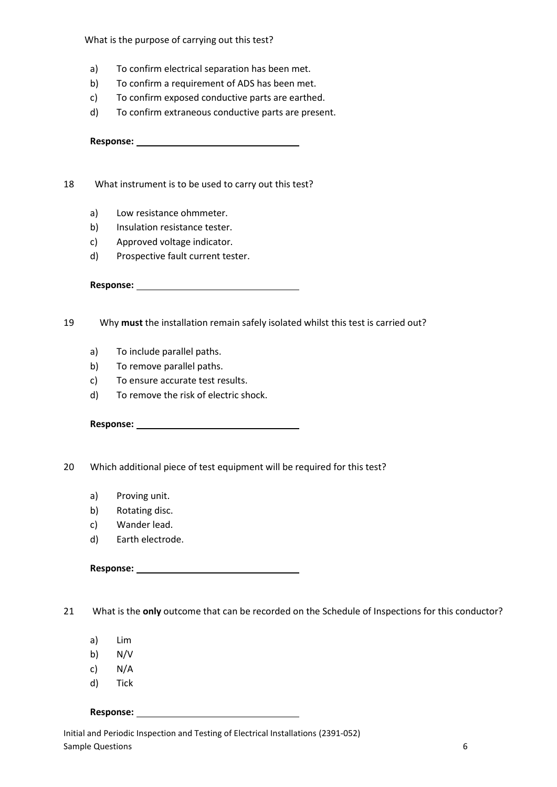What is the purpose of carrying out this test?

- a) To confirm electrical separation has been met.
- b) To confirm a requirement of ADS has been met.
- c) To confirm exposed conductive parts are earthed.
- d) To confirm extraneous conductive parts are present.

**Response:** 

18 What instrument is to be used to carry out this test?

- a) Low resistance ohmmeter.
- b) Insulation resistance tester.
- c) Approved voltage indicator.
- d) Prospective fault current tester.

**Response:** 

19 Why **must** the installation remain safely isolated whilst this test is carried out?

- a) To include parallel paths.
- b) To remove parallel paths.
- c) To ensure accurate test results.
- d) To remove the risk of electric shock.

**Response:** 

20 Which additional piece of test equipment will be required for this test?

- a) Proving unit.
- b) Rotating disc.
- c) Wander lead.
- d) Earth electrode.

### **Response:**

21 What is the **only** outcome that can be recorded on the Schedule of Inspections for this conductor?

- a) Lim
- b) N/V
- c) N/A
- d) Tick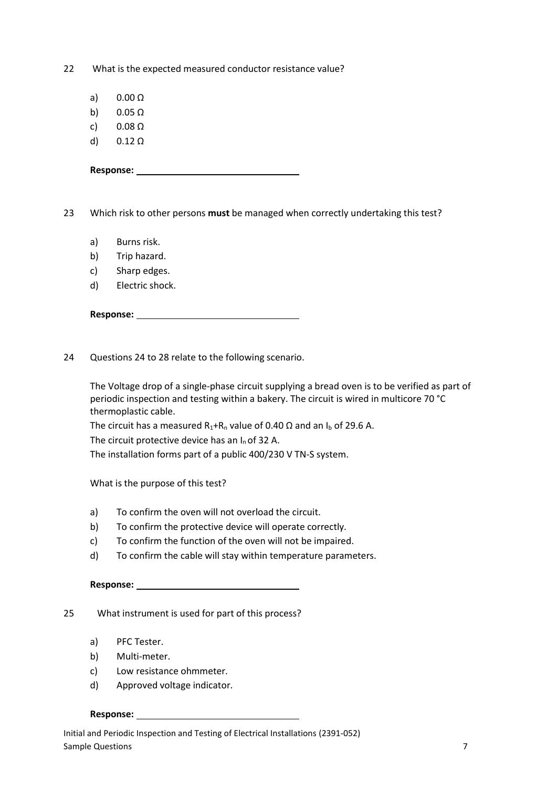22 What is the expected measured conductor resistance value?

- a) 0.00 Ω
- b)  $0.05 \Omega$
- c) 0.08 Ω
- d)  $0.12 \Omega$

23 Which risk to other persons **must** be managed when correctly undertaking this test?

- a) Burns risk.
- b) Trip hazard.
- c) Sharp edges.
- d) Electric shock.

24 Questions 24 to 28 relate to the following scenario.

 The Voltage drop of a single-phase circuit supplying a bread oven is to be verified as part of periodic inspection and testing within a bakery. The circuit is wired in multicore 70 °C thermoplastic cable.

The circuit has a measured  $R_1+R_n$  value of 0.40  $\Omega$  and an I<sub>b</sub> of 29.6 A.

The circuit protective device has an  $I_n$  of 32 A.

The installation forms part of a public 400/230 V TN-S system.

What is the purpose of this test?

- a) To confirm the oven will not overload the circuit.
- b) To confirm the protective device will operate correctly.
- c) To confirm the function of the oven will not be impaired.
- d) To confirm the cable will stay within temperature parameters.

#### **Response:**

25 What instrument is used for part of this process?

- a) PFC Tester.
- b) Multi-meter.
- c) Low resistance ohmmeter.
- d) Approved voltage indicator.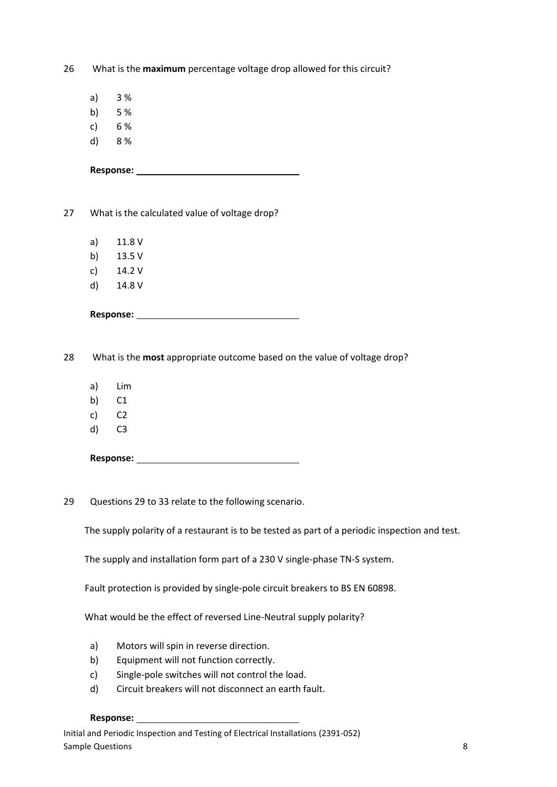26 What is the **maximum** percentage voltage drop allowed for this circuit?

- a) 3 %
- b) 5 %
- c) 6 %
- d) 8 %

27 What is the calculated value of voltage drop?

- a) 11.8 V
- b) 13.5 V
- c) 14.2 V
- d) 14.8 V

28 What is the **most** appropriate outcome based on the value of voltage drop?

- a) Lim
- b) C1
- c) C2
- d) C3

**Response:** 

29 Questions 29 to 33 relate to the following scenario.

The supply polarity of a restaurant is to be tested as part of a periodic inspection and test.

The supply and installation form part of a 230 V single-phase TN-S system.

Fault protection is provided by single-pole circuit breakers to BS EN 60898.

What would be the effect of reversed Line-Neutral supply polarity?

- a) Motors will spin in reverse direction.
- b) Equipment will not function correctly.
- c) Single-pole switches will not control the load.
- d) Circuit breakers will not disconnect an earth fault.

#### Response: <u>**with a set of the set of the set of the set of the set of the set of the set of the set of the set of the set of the set of the set of the set of the set of the set of the set of the set of the set of the set o</u>**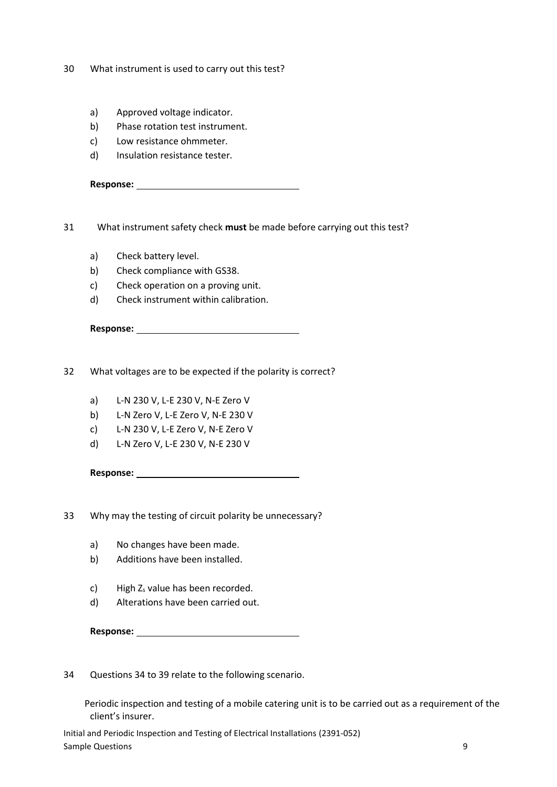- 30 What instrument is used to carry out this test?
	- a) Approved voltage indicator.
	- b) Phase rotation test instrument.
	- c) Low resistance ohmmeter.
	- d) Insulation resistance tester.

31 What instrument safety check **must** be made before carrying out this test?

- a) Check battery level.
- b) Check compliance with GS38.
- c) Check operation on a proving unit.
- d) Check instrument within calibration.

| Response: |  |
|-----------|--|
|           |  |

32 What voltages are to be expected if the polarity is correct?

- a) L-N 230 V, L-E 230 V, N-E Zero V
- b) L-N Zero V, L-E Zero V, N-E 230 V
- c) L-N 230 V, L-E Zero V, N-E Zero V
- d) L-N Zero V, L-E 230 V, N-E 230 V

**Response:** 

33 Why may the testing of circuit polarity be unnecessary?

- a) No changes have been made.
- b) Additions have been installed.
- c) High  $Z_s$  value has been recorded.
- d) Alterations have been carried out.

**Response:** 

34 Questions 34 to 39 relate to the following scenario.

 Periodic inspection and testing of a mobile catering unit is to be carried out as a requirement of the client's insurer.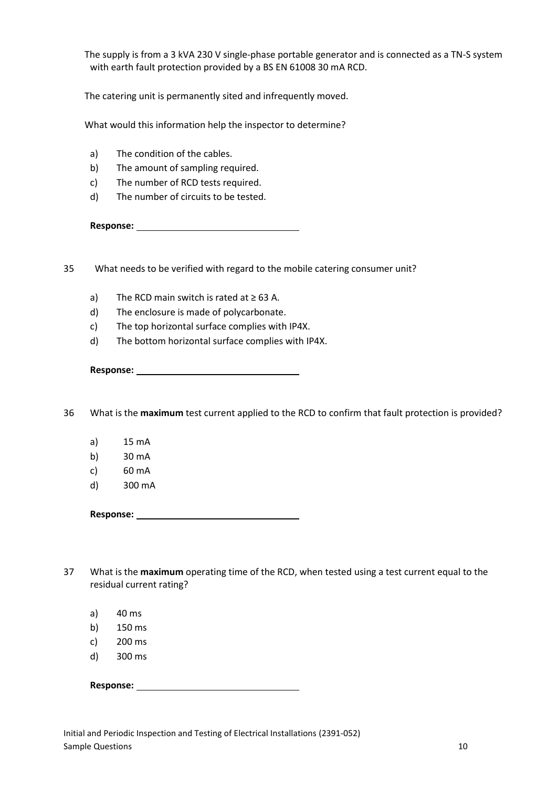The supply is from a 3 kVA 230 V single-phase portable generator and is connected as a TN-S system with earth fault protection provided by a BS EN 61008 30 mA RCD.

The catering unit is permanently sited and infrequently moved.

What would this information help the inspector to determine?

- a) The condition of the cables.
- b) The amount of sampling required.
- c) The number of RCD tests required.
- d) The number of circuits to be tested.

**Response:** 

35 What needs to be verified with regard to the mobile catering consumer unit?

- a) The RCD main switch is rated at  $\geq 63$  A.
- d) The enclosure is made of polycarbonate.
- c) The top horizontal surface complies with IP4X.
- d) The bottom horizontal surface complies with IP4X.

**Response:** 

36 What is the **maximum** test current applied to the RCD to confirm that fault protection is provided?

- a) 15 mA
- b) 30 mA
- c) 60 mA
- d) 300 mA

- 37 What is the **maximum** operating time of the RCD, when tested using a test current equal to the residual current rating?
	- a) 40 ms
	- b) 150 ms
	- c) 200 ms
	- d) 300 ms

**Response:**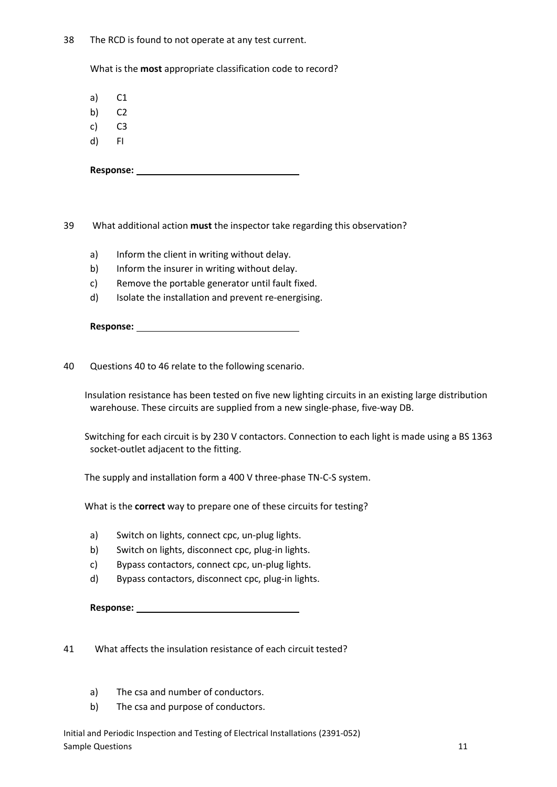38 The RCD is found to not operate at any test current.

What is the **most** appropriate classification code to record?

a) C1

- b) C2
- c) C3
- d) FI

**Response:** 

39 What additional action **must** the inspector take regarding this observation?

- a) Inform the client in writing without delay.
- b) Inform the insurer in writing without delay.
- c) Remove the portable generator until fault fixed.
- d) Isolate the installation and prevent re-energising.

40 Questions 40 to 46 relate to the following scenario.

 Insulation resistance has been tested on five new lighting circuits in an existing large distribution warehouse. These circuits are supplied from a new single-phase, five-way DB.

 Switching for each circuit is by 230 V contactors. Connection to each light is made using a BS 1363 socket-outlet adjacent to the fitting.

The supply and installation form a 400 V three-phase TN-C-S system.

What is the **correct** way to prepare one of these circuits for testing?

- a) Switch on lights, connect cpc, un-plug lights.
- b) Switch on lights, disconnect cpc, plug-in lights.
- c) Bypass contactors, connect cpc, un-plug lights.
- d) Bypass contactors, disconnect cpc, plug-in lights.

**Response:** 

41 What affects the insulation resistance of each circuit tested?

- a) The csa and number of conductors.
- b) The csa and purpose of conductors.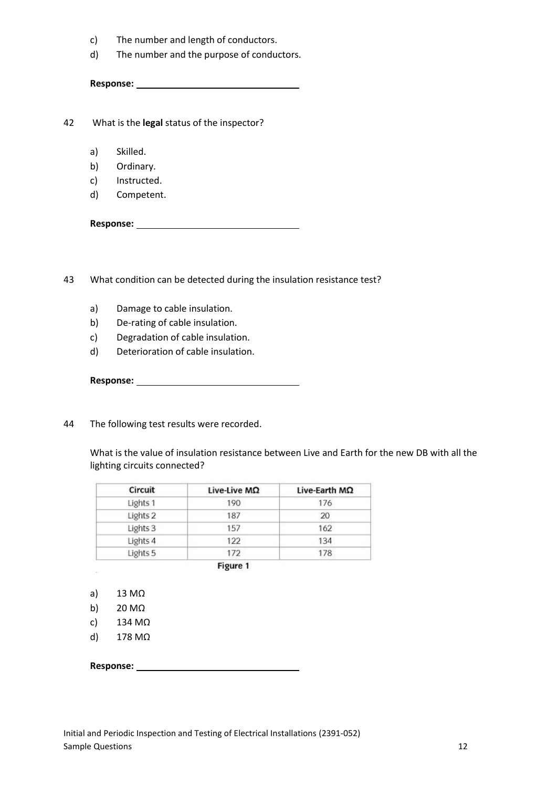- c) The number and length of conductors.
- d) The number and the purpose of conductors.

42 What is the **legal** status of the inspector?

- a) Skilled.
- b) Ordinary.
- c) Instructed.
- d) Competent.

**Response:** 

43 What condition can be detected during the insulation resistance test?

- a) Damage to cable insulation.
- b) De-rating of cable insulation.
- c) Degradation of cable insulation.
- d) Deterioration of cable insulation.

**Response:** 

44 The following test results were recorded.

 What is the value of insulation resistance between Live and Earth for the new DB with all the lighting circuits connected?

| Live-Live ΜΩ | Live-Earth ΜΩ |
|--------------|---------------|
| 190          | 176           |
| 187          | 20            |
| 157          | 162           |
| 122          | 134           |
| 172          | 178           |
|              |               |

Figure 1

a) 13 MΩ

 $\sim$ 

- b) 20 MΩ
- c) 134 MΩ
- d) 178 MΩ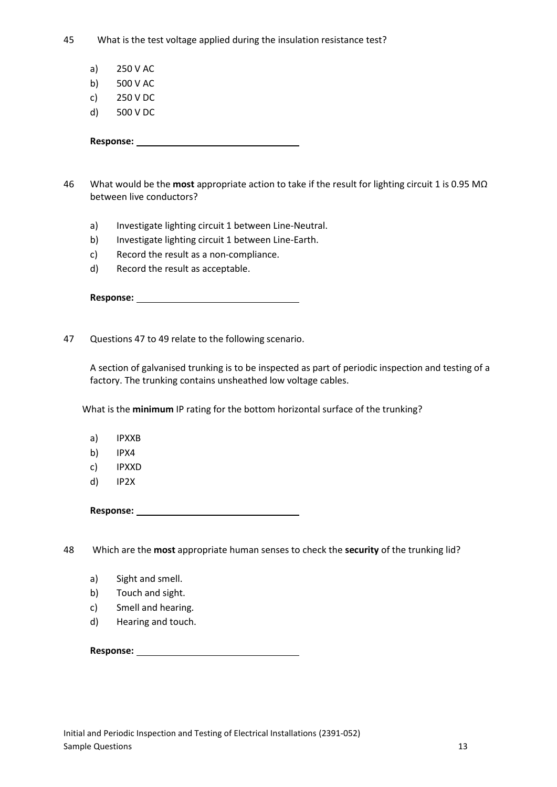45 What is the test voltage applied during the insulation resistance test?

- a) 250 V AC
- b) 500 V AC
- c) 250 V DC
- d) 500 V DC

**Response:** 

46 What would be the **most** appropriate action to take if the result for lighting circuit 1 is 0.95 MΩ between live conductors?

- a) Investigate lighting circuit 1 between Line-Neutral.
- b) Investigate lighting circuit 1 between Line-Earth.
- c) Record the result as a non-compliance.
- d) Record the result as acceptable.

47 Questions 47 to 49 relate to the following scenario.

 A section of galvanised trunking is to be inspected as part of periodic inspection and testing of a factory. The trunking contains unsheathed low voltage cables.

What is the **minimum** IP rating for the bottom horizontal surface of the trunking?

- a) IPXXB
- b) IPX4
- c) IPXXD
- d) IP2X

**Response:** 

48 Which are the **most** appropriate human senses to check the **security** of the trunking lid?

- a) Sight and smell.
- b) Touch and sight.
- c) Smell and hearing.
- d) Hearing and touch.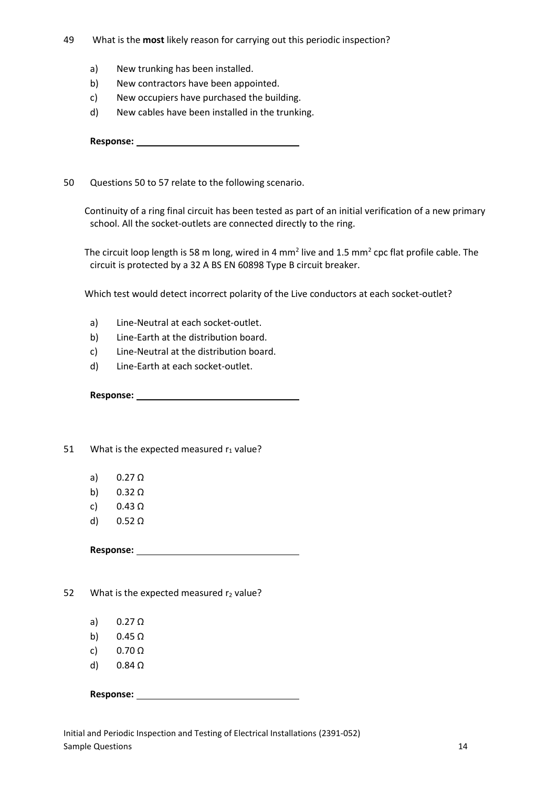- 49 What is the **most** likely reason for carrying out this periodic inspection?
	- a) New trunking has been installed.
	- b) New contractors have been appointed.
	- c) New occupiers have purchased the building.
	- d) New cables have been installed in the trunking.

50 Questions 50 to 57 relate to the following scenario.

 Continuity of a ring final circuit has been tested as part of an initial verification of a new primary school. All the socket-outlets are connected directly to the ring.

The circuit loop length is 58 m long, wired in 4 mm<sup>2</sup> live and 1.5 mm<sup>2</sup> cpc flat profile cable. The circuit is protected by a 32 A BS EN 60898 Type B circuit breaker.

Which test would detect incorrect polarity of the Live conductors at each socket-outlet?

- a) Line-Neutral at each socket-outlet.
- b) Line-Earth at the distribution board.
- c) Line-Neutral at the distribution board.
- d) Line-Earth at each socket-outlet.

**Response:** 

51 What is the expected measured  $r_1$  value?

- a) 0.27 Ω
- b)  $0.32 \Omega$
- c) 0.43 Ω
- d) 0.52 Ω

**Response:** 

52 What is the expected measured  $r_2$  value?

- a) 0.27 Ω
- b)  $0.45 \Omega$
- c)  $0.70 \Omega$
- d)  $0.84 \Omega$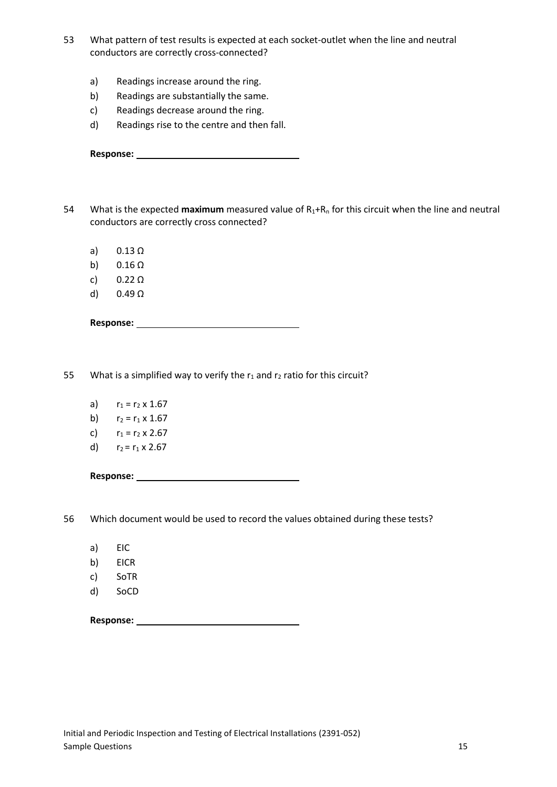- 53 What pattern of test results is expected at each socket-outlet when the line and neutral conductors are correctly cross-connected?
	- a) Readings increase around the ring.
	- b) Readings are substantially the same.
	- c) Readings decrease around the ring.
	- d) Readings rise to the centre and then fall.

| <b>Response:</b> |  |
|------------------|--|
|                  |  |

- 54 What is the expected **maximum** measured value of R<sub>1</sub>+R<sub>n</sub> for this circuit when the line and neutral conductors are correctly cross connected?
	- a) 0.13 Ω
	- b)  $0.16 \Omega$
	- c) 0.22 Ω
	- d) 0.49 Ω

55 What is a simplified way to verify the  $r_1$  and  $r_2$  ratio for this circuit?

- a)  $r_1 = r_2 \times 1.67$
- b)  $r_2 = r_1 \times 1.67$
- c)  $r_1 = r_2 \times 2.67$
- d)  $r_2 = r_1 \times 2.67$

**Response:** 

56 Which document would be used to record the values obtained during these tests?

- a) EIC
- b) EICR
- c) SoTR
- d) SoCD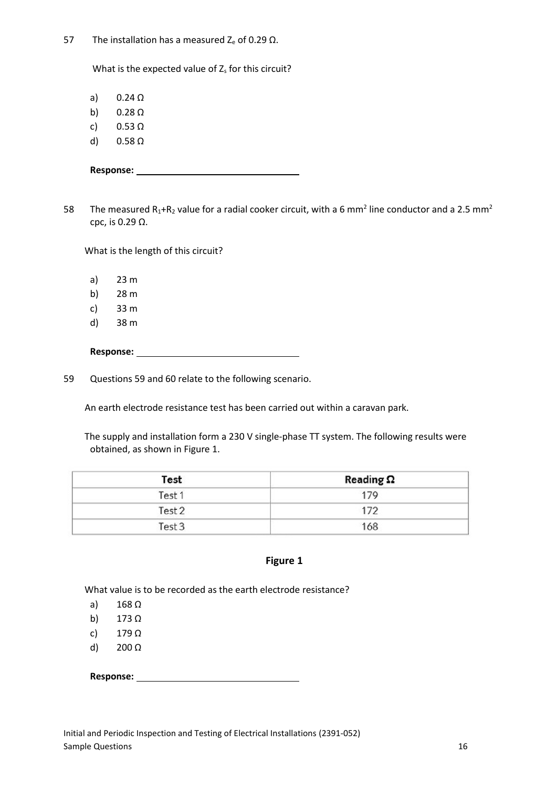57 The installation has a measured  $Z_e$  of 0.29 Ω.

What is the expected value of  $Z_s$  for this circuit?

a) 0.24 Ω

- b)  $0.28 \Omega$
- c) 0.53 Ω
- d) 0.58 Ω

58 The measured R<sub>1</sub>+R<sub>2</sub> value for a radial cooker circuit, with a 6 mm<sup>2</sup> line conductor and a 2.5 mm<sup>2</sup> cpc, is 0.29 Ω.

What is the length of this circuit?

- a) 23 m
- b) 28 m
- c) 33 m
- d) 38 m

**Response:** 

59 Questions 59 and 60 relate to the following scenario.

An earth electrode resistance test has been carried out within a caravan park.

 The supply and installation form a 230 V single-phase TT system. The following results were obtained, as shown in Figure 1.

| Test   | Reading $\Omega$ |
|--------|------------------|
| Test 1 | 179              |
| Test 2 | 172              |
| Test 3 | 168              |

## **Figure 1**

What value is to be recorded as the earth electrode resistance?

- a) 168 Ω
- b) 173 Ω
- c) 179 Ω
- d) 200 Ω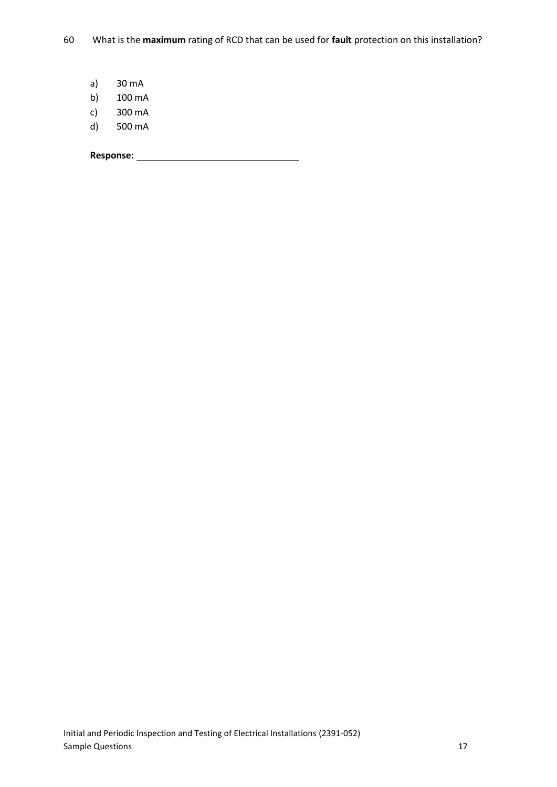- a) 30 mA
- b) 100 mA
- c) 300 mA
- d) 500 mA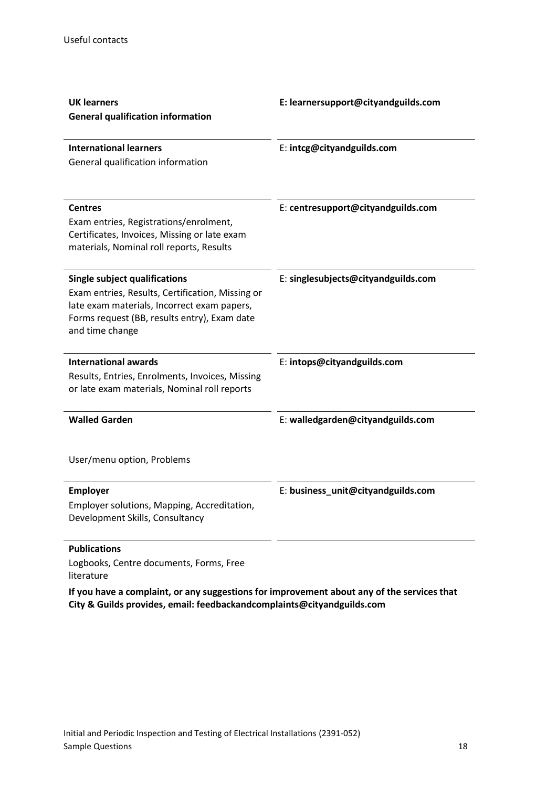| <b>UK learners</b><br><b>General qualification information</b>                                                                                                                                             | E: learnersupport@cityandguilds.com |
|------------------------------------------------------------------------------------------------------------------------------------------------------------------------------------------------------------|-------------------------------------|
| <b>International learners</b><br>General qualification information                                                                                                                                         | E: intcg@cityandguilds.com          |
| <b>Centres</b><br>Exam entries, Registrations/enrolment,<br>Certificates, Invoices, Missing or late exam<br>materials, Nominal roll reports, Results                                                       | E: centresupport@cityandguilds.com  |
| <b>Single subject qualifications</b><br>Exam entries, Results, Certification, Missing or<br>late exam materials, Incorrect exam papers,<br>Forms request (BB, results entry), Exam date<br>and time change | E: singlesubjects@cityandguilds.com |
| <b>International awards</b><br>Results, Entries, Enrolments, Invoices, Missing<br>or late exam materials, Nominal roll reports                                                                             | E: intops@cityandguilds.com         |
| <b>Walled Garden</b>                                                                                                                                                                                       | E: walledgarden@cityandguilds.com   |
| User/menu option, Problems                                                                                                                                                                                 |                                     |
| <b>Employer</b><br>Employer solutions, Mapping, Accreditation,<br>Development Skills, Consultancy                                                                                                          | E: business_unit@cityandguilds.com  |

## **Publications**

Logbooks, Centre documents, Forms, Free literature

**If you have a complaint, or any suggestions for improvement about any of the services that City & Guilds provides, email: feedbackandcomplaints@cityandguilds.com**